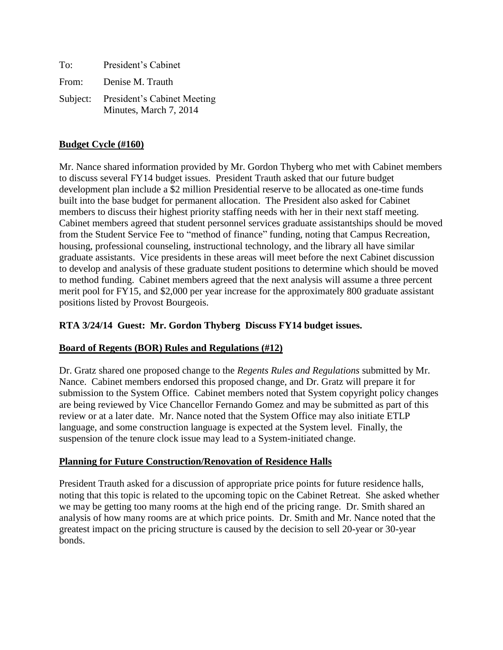| To:   | President's Cabinet                                            |
|-------|----------------------------------------------------------------|
| From: | Denise M. Trauth                                               |
|       | Subject: President's Cabinet Meeting<br>Minutes, March 7, 2014 |

### **Budget Cycle (#160)**

Mr. Nance shared information provided by Mr. Gordon Thyberg who met with Cabinet members to discuss several FY14 budget issues. President Trauth asked that our future budget development plan include a \$2 million Presidential reserve to be allocated as one-time funds built into the base budget for permanent allocation. The President also asked for Cabinet members to discuss their highest priority staffing needs with her in their next staff meeting. Cabinet members agreed that student personnel services graduate assistantships should be moved from the Student Service Fee to "method of finance" funding, noting that Campus Recreation, housing, professional counseling, instructional technology, and the library all have similar graduate assistants. Vice presidents in these areas will meet before the next Cabinet discussion to develop and analysis of these graduate student positions to determine which should be moved to method funding. Cabinet members agreed that the next analysis will assume a three percent merit pool for FY15, and \$2,000 per year increase for the approximately 800 graduate assistant positions listed by Provost Bourgeois.

# **RTA 3/24/14 Guest: Mr. Gordon Thyberg Discuss FY14 budget issues.**

# **Board of Regents (BOR) Rules and Regulations (#12)**

Dr. Gratz shared one proposed change to the *Regents Rules and Regulations* submitted by Mr. Nance. Cabinet members endorsed this proposed change, and Dr. Gratz will prepare it for submission to the System Office. Cabinet members noted that System copyright policy changes are being reviewed by Vice Chancellor Fernando Gomez and may be submitted as part of this review or at a later date. Mr. Nance noted that the System Office may also initiate ETLP language, and some construction language is expected at the System level. Finally, the suspension of the tenure clock issue may lead to a System-initiated change.

# **Planning for Future Construction/Renovation of Residence Halls**

President Trauth asked for a discussion of appropriate price points for future residence halls, noting that this topic is related to the upcoming topic on the Cabinet Retreat. She asked whether we may be getting too many rooms at the high end of the pricing range. Dr. Smith shared an analysis of how many rooms are at which price points. Dr. Smith and Mr. Nance noted that the greatest impact on the pricing structure is caused by the decision to sell 20-year or 30-year bonds.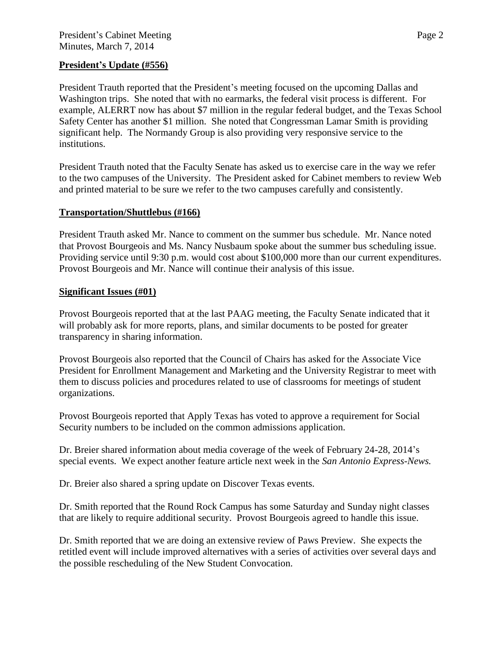### **President's Update (#556)**

President Trauth reported that the President's meeting focused on the upcoming Dallas and Washington trips. She noted that with no earmarks, the federal visit process is different. For example, ALERRT now has about \$7 million in the regular federal budget, and the Texas School Safety Center has another \$1 million. She noted that Congressman Lamar Smith is providing significant help. The Normandy Group is also providing very responsive service to the institutions.

President Trauth noted that the Faculty Senate has asked us to exercise care in the way we refer to the two campuses of the University. The President asked for Cabinet members to review Web and printed material to be sure we refer to the two campuses carefully and consistently.

### **Transportation/Shuttlebus (#166)**

President Trauth asked Mr. Nance to comment on the summer bus schedule. Mr. Nance noted that Provost Bourgeois and Ms. Nancy Nusbaum spoke about the summer bus scheduling issue. Providing service until 9:30 p.m. would cost about \$100,000 more than our current expenditures. Provost Bourgeois and Mr. Nance will continue their analysis of this issue.

#### **Significant Issues (#01)**

Provost Bourgeois reported that at the last PAAG meeting, the Faculty Senate indicated that it will probably ask for more reports, plans, and similar documents to be posted for greater transparency in sharing information.

Provost Bourgeois also reported that the Council of Chairs has asked for the Associate Vice President for Enrollment Management and Marketing and the University Registrar to meet with them to discuss policies and procedures related to use of classrooms for meetings of student organizations.

Provost Bourgeois reported that Apply Texas has voted to approve a requirement for Social Security numbers to be included on the common admissions application.

Dr. Breier shared information about media coverage of the week of February 24-28, 2014's special events. We expect another feature article next week in the *San Antonio Express-News.*

Dr. Breier also shared a spring update on Discover Texas events.

Dr. Smith reported that the Round Rock Campus has some Saturday and Sunday night classes that are likely to require additional security. Provost Bourgeois agreed to handle this issue.

Dr. Smith reported that we are doing an extensive review of Paws Preview. She expects the retitled event will include improved alternatives with a series of activities over several days and the possible rescheduling of the New Student Convocation.